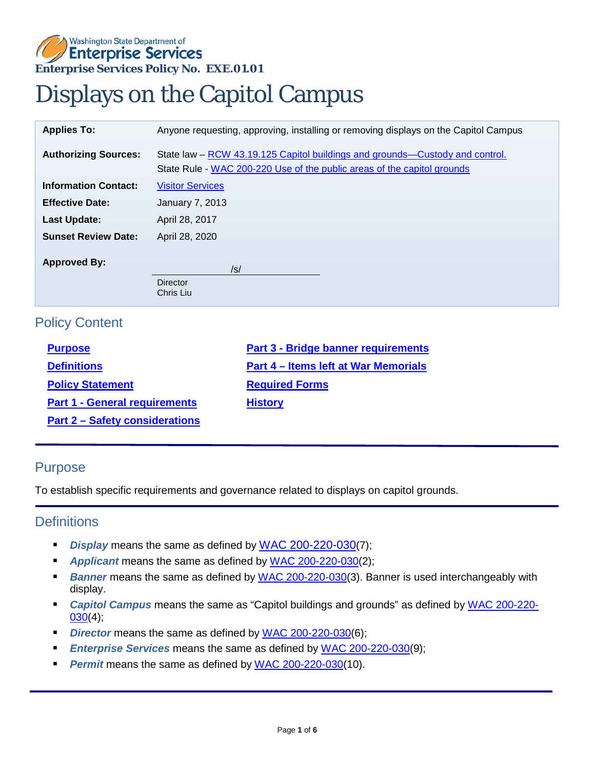## **Enterprise Services Policy No. EXE.01.01**  Washington State Department of **Enterprise Services**

# Displays on the Capitol Campus

| <b>Applies To:</b>          | Anyone requesting, approving, installing or removing displays on the Capitol Campus                                                                     |
|-----------------------------|---------------------------------------------------------------------------------------------------------------------------------------------------------|
| <b>Authorizing Sources:</b> | State law – RCW 43.19.125 Capitol buildings and grounds—Custody and control.<br>State Rule - WAC 200-220 Use of the public areas of the capitol grounds |
| <b>Information Contact:</b> | <b>Visitor Services</b>                                                                                                                                 |
| <b>Effective Date:</b>      | January 7, 2013                                                                                                                                         |
| <b>Last Update:</b>         | April 28, 2017                                                                                                                                          |
| <b>Sunset Review Date:</b>  | April 28, 2020                                                                                                                                          |
| <b>Approved By:</b>         | /s/                                                                                                                                                     |
|                             | <b>Director</b><br>Chris Liu                                                                                                                            |

## <span id="page-0-0"></span>Policy Content

| <b>Purpose</b>                        | <b>Part 3 - Bridge banner requirements</b>  |
|---------------------------------------|---------------------------------------------|
| <b>Definitions</b>                    | <b>Part 4 - Items left at War Memorials</b> |
| <b>Policy Statement</b>               | <b>Required Forms</b>                       |
| <b>Part 1 - General requirements</b>  | <b>History</b>                              |
| <b>Part 2 - Safety considerations</b> |                                             |

## Purpose

To establish specific requirements and governance related to displays on capitol grounds.

#### <span id="page-0-1"></span>**Definitions**

- **Display** means the same as defined by **WAC 200-220-030**(7);
- **Applicant** means the same as defined by [WAC 200-220-030\(](http://apps.leg.wa.gov/wac/default.aspx?cite=200-220-030)2);
- **Banner** means the same as defined by [WAC 200-220-030\(](http://apps.leg.wa.gov/wac/default.aspx?cite=200-220-030)3). Banner is used interchangeably with display.
- *Capitol Campus* means the same as "Capitol buildings and grounds" as defined by [WAC 200-220-](http://apps.leg.wa.gov/wac/default.aspx?cite=200-220-030)  $030(4);$  $030(4);$
- **Director** means the same as defined by [WAC 200-220-030\(](http://apps.leg.wa.gov/wac/default.aspx?cite=200-220-030)6);
- *Enterprise Services* means the same as defined by [WAC 200-220-030\(](http://apps.leg.wa.gov/wac/default.aspx?cite=200-220-030)9);
- <span id="page-0-2"></span>*Permit* means the same as defined by [WAC 200-220-030\(](http://apps.leg.wa.gov/wac/default.aspx?cite=200-220-030)10).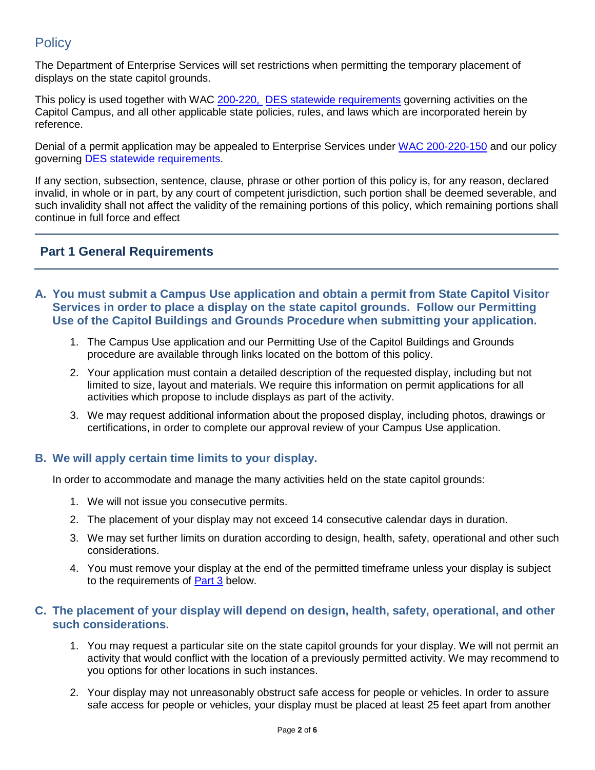# **Policy**

The Department of Enterprise Services will set restrictions when permitting the temporary placement of displays on the state capitol grounds.

This policy is used together with WAC [200-220,](http://apps.leg.wa.gov/wac/default.aspx?cite=200-220) [DES statewide requirements](http://des.wa.gov/about/laws-rules-policies) governing activities on the Capitol Campus, and all other applicable state policies, rules, and laws which are incorporated herein by reference.

Denial of a permit application may be appealed to Enterprise Services under [WAC 200-220-150](http://app.leg.wa.gov/wac/default.aspx?cite=200-220-150) and our policy governing [DES statewide requirements.](http://des.wa.gov/about/laws-rules-policies)

 such invalidity shall not affect the validity of the remaining portions of this policy, which remaining portions shall If any section, subsection, sentence, clause, phrase or other portion of this policy is, for any reason, declared invalid, in whole or in part, by any court of competent jurisdiction, such portion shall be deemed severable, and continue in full force and effect

## <span id="page-1-0"></span>**Part 1 General Requirements**

- **A. You must submit a Campus Use application and obtain a permit from State Capitol Visitor Use of the Capitol Buildings and Grounds Procedure when submitting your application. Services in order to place a display on the state capitol grounds. Follow our Permitting** 
	- 1. The Campus Use application and our Permitting Use of the Capitol Buildings and Grounds procedure are available through links located on the bottom of this policy.
	- limited to size, layout and materials. We require this information on permit applications for all activities which propose to include displays as part of the activity. 2. Your application must contain a detailed description of the requested display, including but not
	- 3. We may request additional information about the proposed display, including photos, drawings or certifications, in order to complete our approval review of your Campus Use application.

#### **B. We will apply certain time limits to your display.**

In order to accommodate and manage the many activities held on the state capitol grounds:

- 1. We will not issue you consecutive permits.
- 2. The placement of your display may not exceed 14 consecutive calendar days in duration.
- 3. We may set further limits on duration according to design, health, safety, operational and other such considerations.
- to the requirements of **Part 3** below. 4. You must remove your display at the end of the permitted timeframe unless your display is subject

#### **C. The placement of your display will depend on design, health, safety, operational, and other such considerations.**

- 1. You may request a particular site on the state capitol grounds for your display. We will not permit an activity that would conflict with the location of a previously permitted activity. We may recommend to you options for other locations in such instances.
- 2. Your display may not unreasonably obstruct safe access for people or vehicles. In order to assure safe access for people or vehicles, your display must be placed at least 25 feet apart from another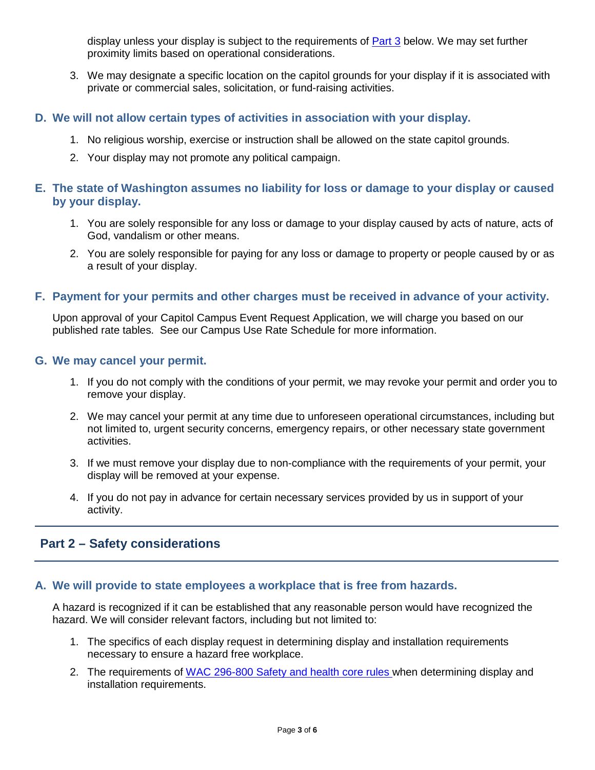display unless your display is subject to the requirements of <u>Part 3</u> below. We may set further proximity limits based on operational considerations.

3. We may designate a specific location on the capitol grounds for your display if it is associated with private or commercial sales, solicitation, or fund-raising activities.

#### **D. We will not allow certain types of activities in association with your display.**

- 1. No religious worship, exercise or instruction shall be allowed on the state capitol grounds.
- 2. Your display may not promote any political campaign.

#### **E. The state of Washington assumes no liability for loss or damage to your display or caused by your display.**

- 1. You are solely responsible for any loss or damage to your display caused by acts of nature, acts of God, vandalism or other means.
- 2. You are solely responsible for paying for any loss or damage to property or people caused by or as a result of your display.

#### **F. Payment for your permits and other charges must be received in advance of your activity.**

Upon approval of your Capitol Campus Event Request Application, we will charge you based on our published rate tables. See our Campus Use Rate Schedule for more information.

#### **G. We may cancel your permit.**

- 1. If you do not comply with the conditions of your permit, we may revoke your permit and order you to remove your display.
- 2. We may cancel your permit at any time due to unforeseen operational circumstances, including but not limited to, urgent security concerns, emergency repairs, or other necessary state government activities.
- 3. If we must remove your display due to non-compliance with the requirements of your permit, your display will be removed at your expense.
- 4. If you do not pay in advance for certain necessary services provided by us in support of your activity.

## <span id="page-2-0"></span>**Part 2 – Safety considerations**

#### **A. We will provide to state employees a workplace that is free from hazards.**

 hazard. We will consider relevant factors, including but not limited to: A hazard is recognized if it can be established that any reasonable person would have recognized the

- necessary to ensure a hazard free workplace. 1. The specifics of each display request in determining display and installation requirements
- 2. The requirements of [WAC 296-800 Safety and health core rules w](http://apps.leg.wa.gov/wac/default.aspx?cite=296-800)hen determining display and installation requirements.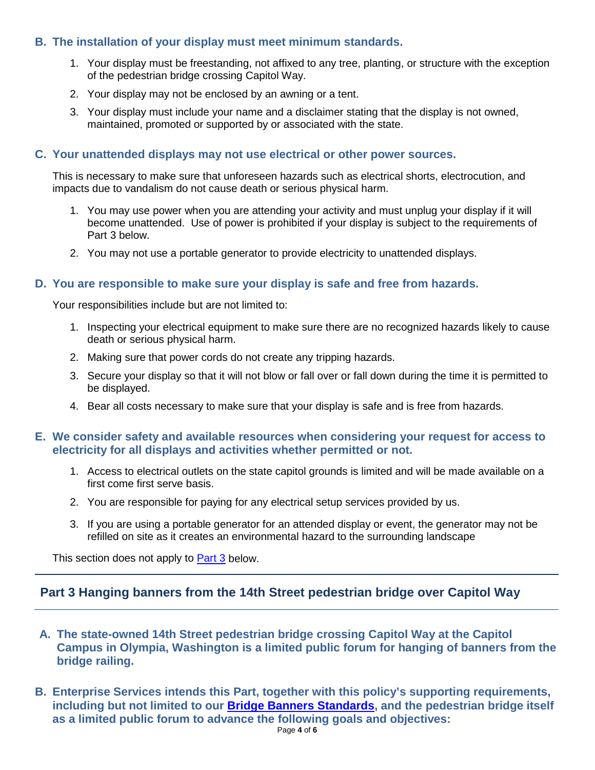### <span id="page-3-0"></span>**B. The installation of your display must meet minimum standards.**

- 1. Your display must be freestanding, not affixed to any tree, planting, or structure with the exception of the pedestrian bridge crossing Capitol Way.
- 2. Your display may not be enclosed by an awning or a tent.
- 3. Your display must include your name and a disclaimer stating that the display is not owned, maintained, promoted or supported by or associated with the state.

#### **C. Your unattended displays may not use electrical or other power sources.**

This is necessary to make sure that unforeseen hazards such as electrical shorts, electrocution, and impacts due to vandalism do not cause death or serious physical harm.

- 1. You may use power when you are attending your activity and must unplug your display if it will become unattended. Use of power is prohibited if your display is subject to the requirements of Part 3 below.
- 2. You may not use a portable generator to provide electricity to unattended displays.

#### **D. You are responsible to make sure your display is safe and free from hazards.**

Your responsibilities include but are not limited to:

- 1. Inspecting your electrical equipment to make sure there are no recognized hazards likely to cause death or serious physical harm.
- 2. Making sure that power cords do not create any tripping hazards.
- 3. Secure your display so that it will not blow or fall over or fall down during the time it is permitted to be displayed.
- 4. Bear all costs necessary to make sure that your display is safe and is free from hazards.

#### **E. We consider safety and available resources when considering your request for access to electricity for all displays and activities whether permitted or not.**

- 1. Access to electrical outlets on the state capitol grounds is limited and will be made available on a first come first serve basis.
- 2. You are responsible for paying for any electrical setup services provided by us.
- 3. If you are using a portable generator for an attended display or event, the generator may not be refilled on site as it creates an environmental hazard to the surrounding landscape

This section does not apply to **Part 3** below.

## **Part 3 Hanging banners from the 14th Street pedestrian bridge over Capitol Way**

- **A. The state-owned 14th Street pedestrian bridge crossing Capitol Way at the Capitol Campus in Olympia, Washington is a limited public forum for hanging of [banners](http://apps.leg.wa.gov/wac/default.aspx?cite=200-220-030) from the bridge railing.**
- **B. Enterprise Services intends this Part, together with this policy's supporting requirements, including but not limited to our [Bridge Banners Standards,](https://des.wa.gov/sites/default/files/public/documents/Facilities/CapitolCampus/BridgeBannerStandards.pdf) and the pedestrian bridge itself as a limited public forum to advance the following goals and objectives:**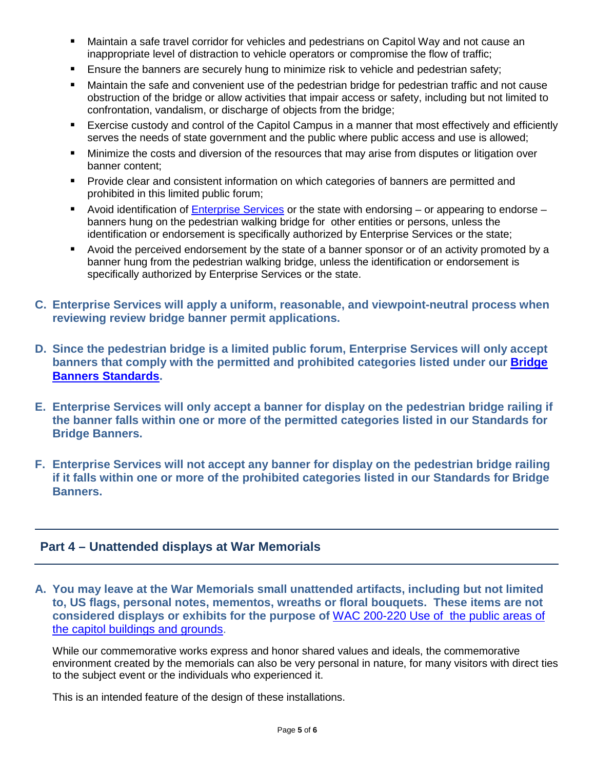- <span id="page-4-0"></span> inappropriate level of distraction to vehicle operators or compromise the flow of traffic; Maintain a safe travel corridor for vehicles and pedestrians on Capitol Way and not cause an
- Ensure the banners are securely hung to minimize risk to vehicle and pedestrian safety;
- obstruction of the bridge or allow activities that impair access or safety, including but not limited to Maintain the safe and convenient use of the pedestrian bridge for pedestrian traffic and not cause confrontation, vandalism, or discharge of objects from the bridge;
- serves the needs of state government and the public where public access and use is allowed; **Exercise custody and control of the Capitol Campus in a manner that most effectively and efficiently**
- Minimize the costs and diversion of the resources that may arise from disputes or litigation over banner content;
- **Provide clear and consistent information on which categories of banners are permitted and** prohibited in this limited public forum;
- Avoid identification of [Enterprise Services](http://apps.leg.wa.gov/wac/default.aspx?cite=200-220-030) or the state with endorsing or appearing to endorse banners hung on the pedestrian walking bridge for other entities or persons, unless the identification or endorsement is specifically authorized by Enterprise Services or the state;
- **Avoid the perceived endorsement by the state of a banner sponsor or of an activity promoted by a** banner hung from the pedestrian walking bridge, unless the identification or endorsement is specifically authorized by Enterprise Services or the state.
- reviewing review bridge banner permit applications. **C. [Enterprise Services](http://apps.leg.wa.gov/wac/default.aspx?cite=200-220-030) will apply a uniform, reasonable, and viewpoint-neutral process when**
- **D. Since the pedestrian bridge is a limited public forum, Enterprise Services will only accept banners that comply with the permitted and prohibited categories listed under our [Bridge](https://des.wa.gov/sites/default/files/public/documents/Facilities/CapitolCampus/BridgeBannerStandards.pdf)  [Banners Standards.](https://des.wa.gov/sites/default/files/public/documents/Facilities/CapitolCampus/BridgeBannerStandards.pdf)**
- **E. Enterprise Services will only accept a banner for display on the pedestrian bridge railing if the banner falls within one or more of the permitted categories listed in our Standards for Bridge Banners.**
- **if it falls within one or more of the prohibited categories listed in our Standards for Bridge F. Enterprise Services will not accept any banner for display on the pedestrian bridge railing Banners.**

## **Part 4 – Unattended displays at War Memorials**

 **to, US flags, personal notes, mementos, wreaths or floral bouquets. These items are not A. You may leave at the War Memorials small unattended artifacts, including but not limited considered displays or exhibits for the purpose of** [WAC 200-220 Use of the public areas of](http://apps.leg.wa.gov/wac/default.aspx?cite=200-220)  [the capitol buildings and grounds.](http://apps.leg.wa.gov/wac/default.aspx?cite=200-220)

 environment created by the memorials can also be very personal in nature, for many visitors with direct ties While our commemorative works express and honor shared values and ideals, the commemorative to the subject event or the individuals who experienced it.

This is an intended feature of the design of these installations.